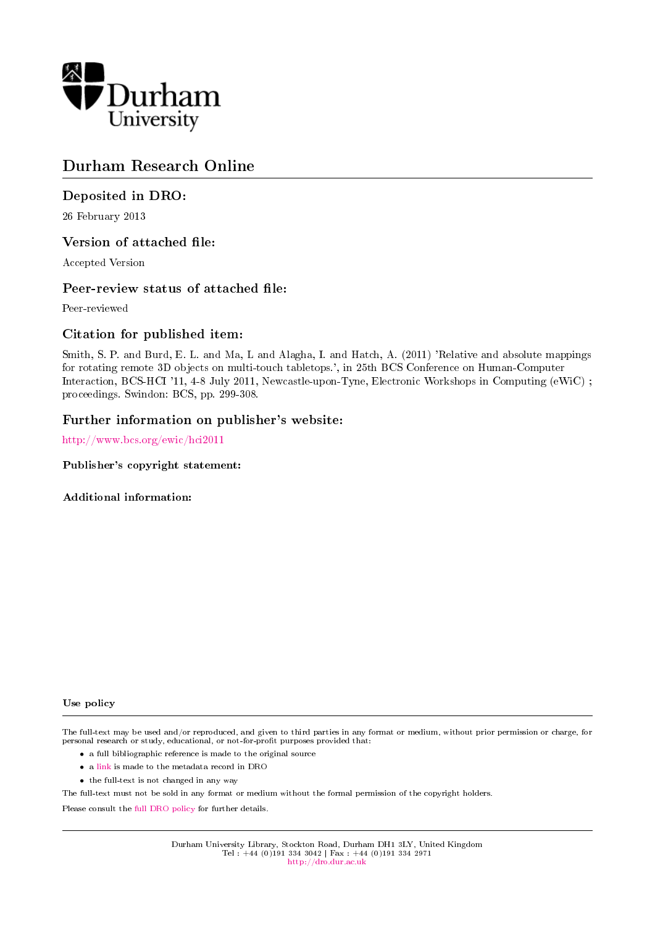

# Durham Research Online

#### Deposited in DRO:

26 February 2013

#### Version of attached file:

Accepted Version

#### Peer-review status of attached file:

Peer-reviewed

#### Citation for published item:

Smith, S. P. and Burd, E. L. and Ma, L and Alagha, I. and Hatch, A. (2011) 'Relative and absolute mappings for rotating remote 3D objects on multi-touch tabletops.', in 25th BCS Conference on Human-Computer Interaction, BCS-HCI '11, 4-8 July 2011, Newcastle-upon-Tyne, Electronic Workshops in Computing (eWiC) ; proceedings. Swindon: BCS, pp. 299-308.

#### Further information on publisher's website:

<http://www.bcs.org/ewic/hci2011>

Publisher's copyright statement:

Additional information:

#### Use policy

The full-text may be used and/or reproduced, and given to third parties in any format or medium, without prior permission or charge, for personal research or study, educational, or not-for-profit purposes provided that:

- a full bibliographic reference is made to the original source
- a [link](http://dro.dur.ac.uk/9304/) is made to the metadata record in DRO
- the full-text is not changed in any way

The full-text must not be sold in any format or medium without the formal permission of the copyright holders.

Please consult the [full DRO policy](http://dro.dur.ac.uk/policies/usepolicy.pdf) for further details.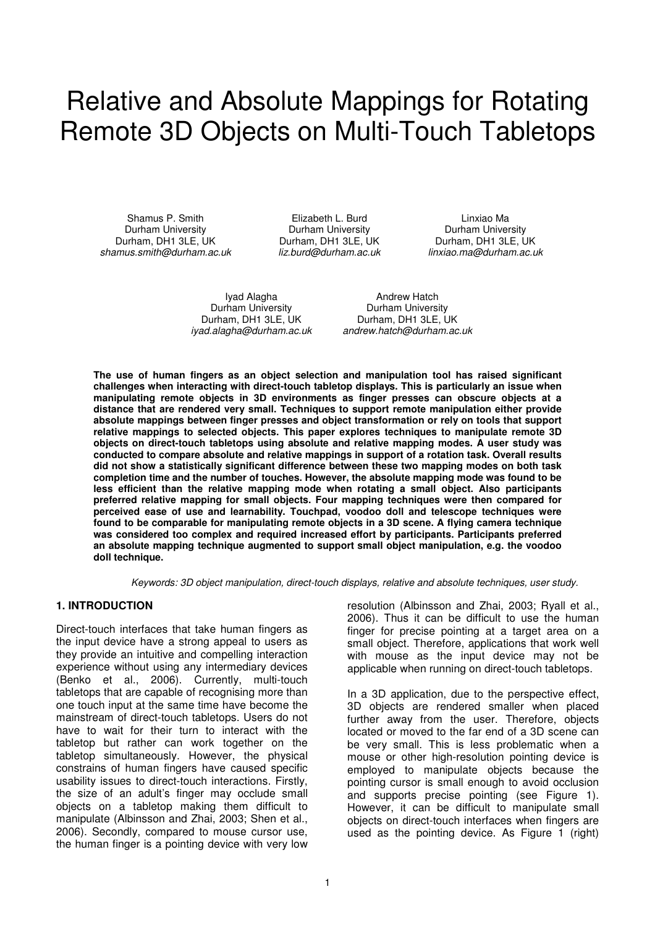# Relative and Absolute Mappings for Rotating Remote 3D Objects on Multi-Touch Tabletops

 Shamus P. Smith Elizabeth L. Burd Linxiao Ma Durham University Durham University Durham University shamus.smith@durham.ac.uk liz.burd@durham.ac.uk linxiao.ma@durham.ac.uk

Durham, DH1 3LE, UK Durham, DH1 3LE, UK

Durham, DH1 3LE, UK<br>*ivad.alagha@durham.ac.uk* 

Ivad Alagha **Andrew Hatch** Durham University **Durham University**<br>1991 - University Durham, DH1 3LE, UK andrew.hatch@durham.ac.uk

**The use of human fingers as an object selection and manipulation tool has raised significant challenges when interacting with direct-touch tabletop displays. This is particularly an issue when manipulating remote objects in 3D environments as finger presses can obscure objects at a distance that are rendered very small. Techniques to support remote manipulation either provide absolute mappings between finger presses and object transformation or rely on tools that support relative mappings to selected objects. This paper explores techniques to manipulate remote 3D objects on direct-touch tabletops using absolute and relative mapping modes. A user study was conducted to compare absolute and relative mappings in support of a rotation task. Overall results did not show a statistically significant difference between these two mapping modes on both task completion time and the number of touches. However, the absolute mapping mode was found to be less efficient than the relative mapping mode when rotating a small object. Also participants preferred relative mapping for small objects. Four mapping techniques were then compared for perceived ease of use and learnability. Touchpad, voodoo doll and telescope techniques were found to be comparable for manipulating remote objects in a 3D scene. A flying camera technique was considered too complex and required increased effort by participants. Participants preferred an absolute mapping technique augmented to support small object manipulation, e.g. the voodoo doll technique.** 

Keywords: 3D object manipulation, direct-touch displays, relative and absolute techniques, user study.

#### **1. INTRODUCTION**

Direct-touch interfaces that take human fingers as the input device have a strong appeal to users as they provide an intuitive and compelling interaction experience without using any intermediary devices (Benko et al., 2006). Currently, multi-touch tabletops that are capable of recognising more than one touch input at the same time have become the mainstream of direct-touch tabletops. Users do not have to wait for their turn to interact with the tabletop but rather can work together on the tabletop simultaneously. However, the physical constrains of human fingers have caused specific usability issues to direct-touch interactions. Firstly, the size of an adult's finger may occlude small objects on a tabletop making them difficult to manipulate (Albinsson and Zhai, 2003; Shen et al., 2006). Secondly, compared to mouse cursor use, the human finger is a pointing device with very low resolution (Albinsson and Zhai, 2003; Ryall et al., 2006). Thus it can be difficult to use the human finger for precise pointing at a target area on a small object. Therefore, applications that work well with mouse as the input device may not be applicable when running on direct-touch tabletops.

In a 3D application, due to the perspective effect, 3D objects are rendered smaller when placed further away from the user. Therefore, objects located or moved to the far end of a 3D scene can be very small. This is less problematic when a mouse or other high-resolution pointing device is employed to manipulate objects because the pointing cursor is small enough to avoid occlusion and supports precise pointing (see Figure 1). However, it can be difficult to manipulate small objects on direct-touch interfaces when fingers are used as the pointing device. As Figure 1 (right)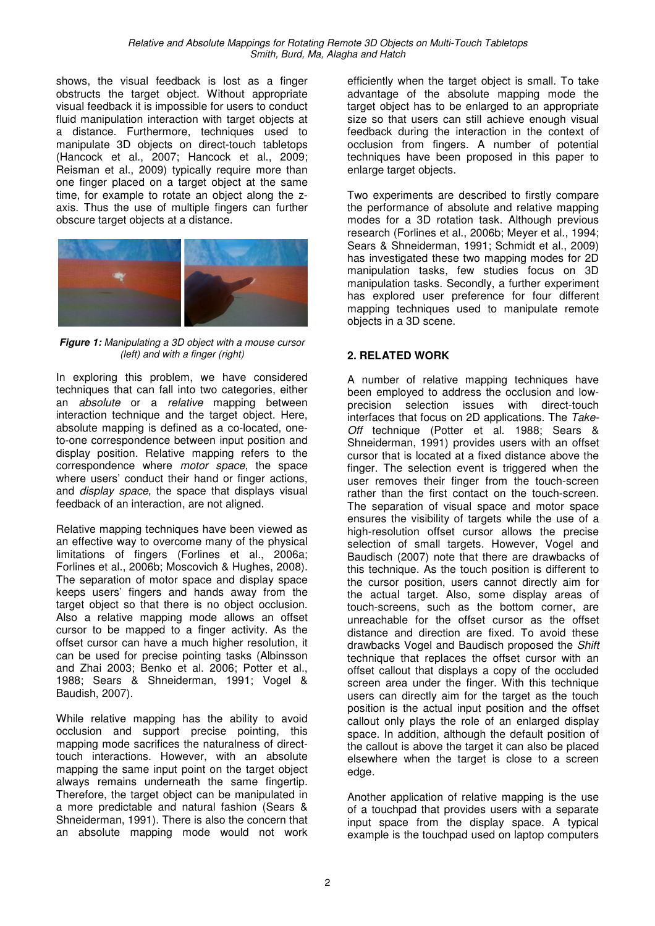shows, the visual feedback is lost as a finger obstructs the target object. Without appropriate visual feedback it is impossible for users to conduct fluid manipulation interaction with target objects at a distance. Furthermore, techniques used to manipulate 3D objects on direct-touch tabletops (Hancock et al., 2007; Hancock et al., 2009; Reisman et al., 2009) typically require more than one finger placed on a target object at the same time, for example to rotate an object along the zaxis. Thus the use of multiple fingers can further obscure target objects at a distance.



**Figure 1:** Manipulating a 3D object with a mouse cursor (left) and with a finger (right)

In exploring this problem, we have considered techniques that can fall into two categories, either an *absolute* or a relative mapping between interaction technique and the target object. Here, absolute mapping is defined as a co-located, oneto-one correspondence between input position and display position. Relative mapping refers to the correspondence where *motor space*, the space where users' conduct their hand or finger actions. and display space, the space that displays visual feedback of an interaction, are not aligned.

Relative mapping techniques have been viewed as an effective way to overcome many of the physical limitations of fingers (Forlines et al., 2006a; Forlines et al., 2006b; Moscovich & Hughes, 2008). The separation of motor space and display space keeps users' fingers and hands away from the target object so that there is no object occlusion. Also a relative mapping mode allows an offset cursor to be mapped to a finger activity. As the offset cursor can have a much higher resolution, it can be used for precise pointing tasks (Albinsson and Zhai 2003; Benko et al. 2006; Potter et al., 1988; Sears & Shneiderman, 1991; Vogel & Baudish, 2007).

While relative mapping has the ability to avoid occlusion and support precise pointing, this mapping mode sacrifices the naturalness of directtouch interactions. However, with an absolute mapping the same input point on the target object always remains underneath the same fingertip. Therefore, the target object can be manipulated in a more predictable and natural fashion (Sears & Shneiderman, 1991). There is also the concern that an absolute mapping mode would not work efficiently when the target object is small. To take advantage of the absolute mapping mode the target object has to be enlarged to an appropriate size so that users can still achieve enough visual feedback during the interaction in the context of occlusion from fingers. A number of potential techniques have been proposed in this paper to enlarge target objects.

Two experiments are described to firstly compare the performance of absolute and relative mapping modes for a 3D rotation task. Although previous research (Forlines et al., 2006b; Meyer et al., 1994; Sears & Shneiderman, 1991; Schmidt et al., 2009) has investigated these two mapping modes for 2D manipulation tasks, few studies focus on 3D manipulation tasks. Secondly, a further experiment has explored user preference for four different mapping techniques used to manipulate remote objects in a 3D scene.

#### **2. RELATED WORK**

A number of relative mapping techniques have been employed to address the occlusion and lowprecision selection issues with direct-touch interfaces that focus on 2D applications. The Take-Off technique (Potter et al. 1988; Sears & Shneiderman, 1991) provides users with an offset cursor that is located at a fixed distance above the finger. The selection event is triggered when the user removes their finger from the touch-screen rather than the first contact on the touch-screen. The separation of visual space and motor space ensures the visibility of targets while the use of a high-resolution offset cursor allows the precise selection of small targets. However, Vogel and Baudisch (2007) note that there are drawbacks of this technique. As the touch position is different to the cursor position, users cannot directly aim for the actual target. Also, some display areas of touch-screens, such as the bottom corner, are unreachable for the offset cursor as the offset distance and direction are fixed. To avoid these drawbacks Vogel and Baudisch proposed the Shift technique that replaces the offset cursor with an offset callout that displays a copy of the occluded screen area under the finger. With this technique users can directly aim for the target as the touch position is the actual input position and the offset callout only plays the role of an enlarged display space. In addition, although the default position of the callout is above the target it can also be placed elsewhere when the target is close to a screen edge.

Another application of relative mapping is the use of a touchpad that provides users with a separate input space from the display space. A typical example is the touchpad used on laptop computers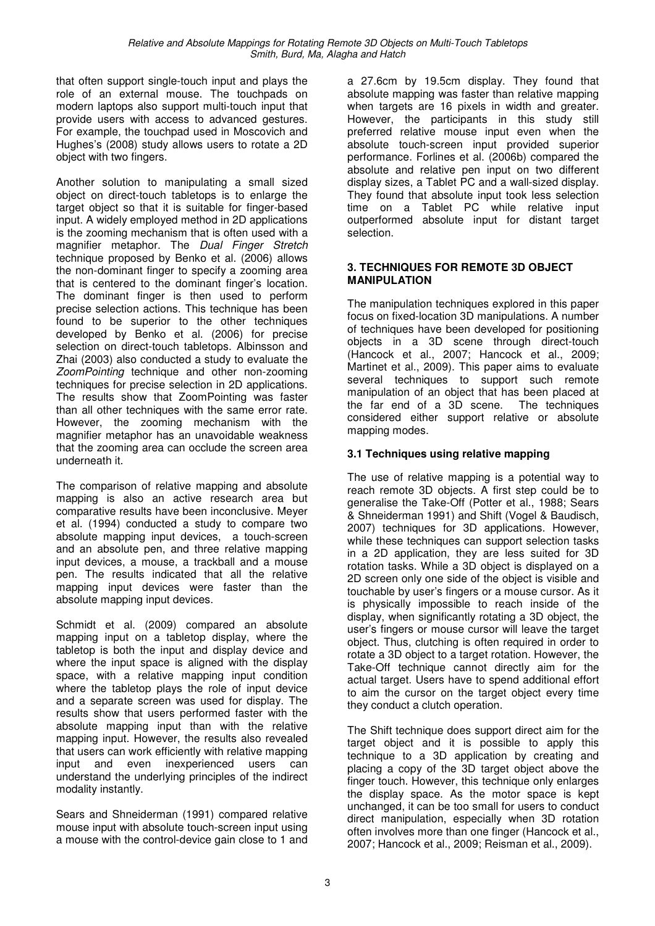that often support single-touch input and plays the role of an external mouse. The touchpads on modern laptops also support multi-touch input that provide users with access to advanced gestures. For example, the touchpad used in Moscovich and Hughes's (2008) study allows users to rotate a 2D object with two fingers.

Another solution to manipulating a small sized object on direct-touch tabletops is to enlarge the target object so that it is suitable for finger-based input. A widely employed method in 2D applications is the zooming mechanism that is often used with a magnifier metaphor. The Dual Finger Stretch technique proposed by Benko et al. (2006) allows the non-dominant finger to specify a zooming area that is centered to the dominant finger's location. The dominant finger is then used to perform precise selection actions. This technique has been found to be superior to the other techniques developed by Benko et al. (2006) for precise selection on direct-touch tabletops. Albinsson and Zhai (2003) also conducted a study to evaluate the ZoomPointing technique and other non-zooming techniques for precise selection in 2D applications. The results show that ZoomPointing was faster than all other techniques with the same error rate. However, the zooming mechanism with the magnifier metaphor has an unavoidable weakness that the zooming area can occlude the screen area underneath it.

The comparison of relative mapping and absolute mapping is also an active research area but comparative results have been inconclusive. Meyer et al. (1994) conducted a study to compare two absolute mapping input devices, a touch-screen and an absolute pen, and three relative mapping input devices, a mouse, a trackball and a mouse pen. The results indicated that all the relative mapping input devices were faster than the absolute mapping input devices.

Schmidt et al. (2009) compared an absolute mapping input on a tabletop display, where the tabletop is both the input and display device and where the input space is aligned with the display space, with a relative mapping input condition where the tabletop plays the role of input device and a separate screen was used for display. The results show that users performed faster with the absolute mapping input than with the relative mapping input. However, the results also revealed that users can work efficiently with relative mapping input and even inexperienced users can understand the underlying principles of the indirect modality instantly.

Sears and Shneiderman (1991) compared relative mouse input with absolute touch-screen input using a mouse with the control-device gain close to 1 and a 27.6cm by 19.5cm display. They found that absolute mapping was faster than relative mapping when targets are 16 pixels in width and greater. However, the participants in this study still preferred relative mouse input even when the absolute touch-screen input provided superior performance. Forlines et al. (2006b) compared the absolute and relative pen input on two different display sizes, a Tablet PC and a wall-sized display. They found that absolute input took less selection time on a Tablet PC while relative input outperformed absolute input for distant target selection.

#### **3. TECHNIQUES FOR REMOTE 3D OBJECT MANIPULATION**

The manipulation techniques explored in this paper focus on fixed-location 3D manipulations. A number of techniques have been developed for positioning objects in a 3D scene through direct-touch (Hancock et al., 2007; Hancock et al., 2009; Martinet et al., 2009). This paper aims to evaluate several techniques to support such remote manipulation of an object that has been placed at the far end of a 3D scene. The techniques considered either support relative or absolute mapping modes.

#### **3.1 Techniques using relative mapping**

The use of relative mapping is a potential way to reach remote 3D objects. A first step could be to generalise the Take-Off (Potter et al., 1988; Sears & Shneiderman 1991) and Shift (Vogel & Baudisch, 2007) techniques for 3D applications. However, while these techniques can support selection tasks in a 2D application, they are less suited for 3D rotation tasks. While a 3D object is displayed on a 2D screen only one side of the object is visible and touchable by user's fingers or a mouse cursor. As it is physically impossible to reach inside of the display, when significantly rotating a 3D object, the user's fingers or mouse cursor will leave the target object. Thus, clutching is often required in order to rotate a 3D object to a target rotation. However, the Take-Off technique cannot directly aim for the actual target. Users have to spend additional effort to aim the cursor on the target object every time they conduct a clutch operation.

The Shift technique does support direct aim for the target object and it is possible to apply this technique to a 3D application by creating and placing a copy of the 3D target object above the finger touch. However, this technique only enlarges the display space. As the motor space is kept unchanged, it can be too small for users to conduct direct manipulation, especially when 3D rotation often involves more than one finger (Hancock et al., 2007; Hancock et al., 2009; Reisman et al., 2009).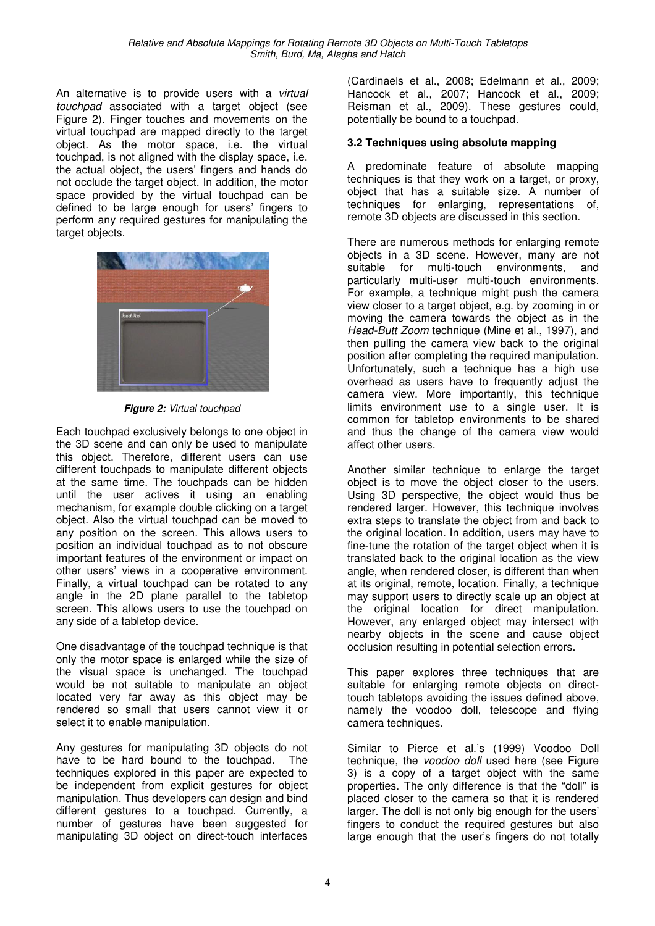An alternative is to provide users with a *virtual* touchpad associated with a target object (see Figure 2). Finger touches and movements on the virtual touchpad are mapped directly to the target object. As the motor space, i.e. the virtual touchpad, is not aligned with the display space, i.e. the actual object, the users' fingers and hands do not occlude the target object. In addition, the motor space provided by the virtual touchpad can be defined to be large enough for users' fingers to perform any required gestures for manipulating the target objects.



**Figure 2:** Virtual touchpad

Each touchpad exclusively belongs to one object in the 3D scene and can only be used to manipulate this object. Therefore, different users can use different touchpads to manipulate different objects at the same time. The touchpads can be hidden until the user actives it using an enabling mechanism, for example double clicking on a target object. Also the virtual touchpad can be moved to any position on the screen. This allows users to position an individual touchpad as to not obscure important features of the environment or impact on other users' views in a cooperative environment. Finally, a virtual touchpad can be rotated to any angle in the 2D plane parallel to the tabletop screen. This allows users to use the touchpad on any side of a tabletop device.

One disadvantage of the touchpad technique is that only the motor space is enlarged while the size of the visual space is unchanged. The touchpad would be not suitable to manipulate an object located very far away as this object may be rendered so small that users cannot view it or select it to enable manipulation.

Any gestures for manipulating 3D objects do not have to be hard bound to the touchpad. The techniques explored in this paper are expected to be independent from explicit gestures for object manipulation. Thus developers can design and bind different gestures to a touchpad. Currently, a number of gestures have been suggested for manipulating 3D object on direct-touch interfaces

(Cardinaels et al., 2008; Edelmann et al., 2009; Hancock et al., 2007; Hancock et al., 2009; Reisman et al., 2009). These gestures could, potentially be bound to a touchpad.

#### **3.2 Techniques using absolute mapping**

A predominate feature of absolute mapping techniques is that they work on a target, or proxy, object that has a suitable size. A number of techniques for enlarging, representations of, remote 3D objects are discussed in this section.

There are numerous methods for enlarging remote objects in a 3D scene. However, many are not suitable for multi-touch environments, and particularly multi-user multi-touch environments. For example, a technique might push the camera view closer to a target object, e.g. by zooming in or moving the camera towards the object as in the Head-Butt Zoom technique (Mine et al., 1997), and then pulling the camera view back to the original position after completing the required manipulation. Unfortunately, such a technique has a high use overhead as users have to frequently adjust the camera view. More importantly, this technique limits environment use to a single user. It is common for tabletop environments to be shared and thus the change of the camera view would affect other users.

Another similar technique to enlarge the target object is to move the object closer to the users. Using 3D perspective, the object would thus be rendered larger. However, this technique involves extra steps to translate the object from and back to the original location. In addition, users may have to fine-tune the rotation of the target object when it is translated back to the original location as the view angle, when rendered closer, is different than when at its original, remote, location. Finally, a technique may support users to directly scale up an object at the original location for direct manipulation. However, any enlarged object may intersect with nearby objects in the scene and cause object occlusion resulting in potential selection errors.

This paper explores three techniques that are suitable for enlarging remote objects on directtouch tabletops avoiding the issues defined above, namely the voodoo doll, telescope and flying camera techniques.

Similar to Pierce et al.'s (1999) Voodoo Doll technique, the voodoo doll used here (see Figure 3) is a copy of a target object with the same properties. The only difference is that the "doll" is placed closer to the camera so that it is rendered larger. The doll is not only big enough for the users' fingers to conduct the required gestures but also large enough that the user's fingers do not totally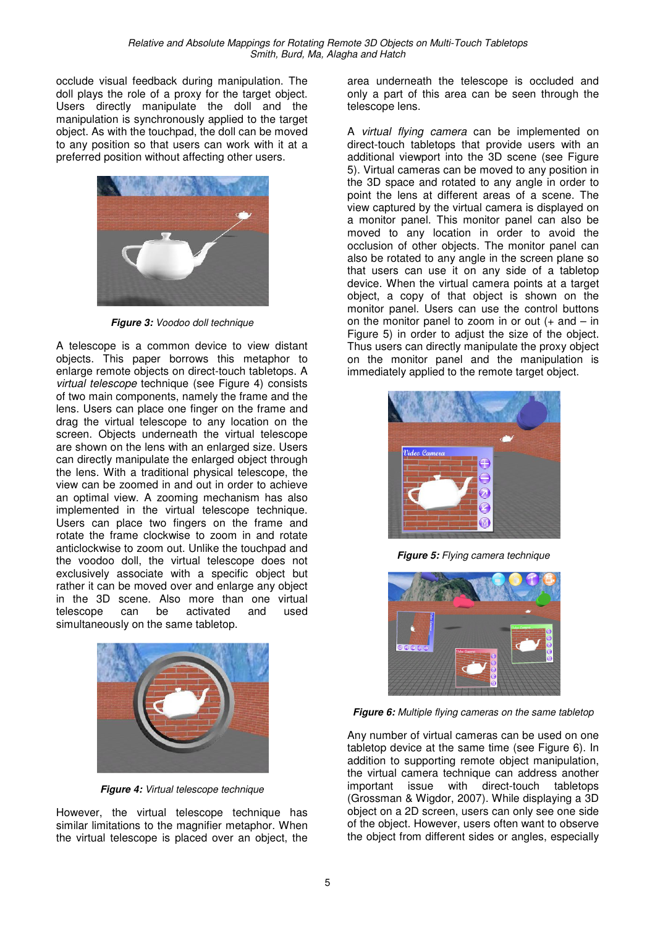occlude visual feedback during manipulation. The doll plays the role of a proxy for the target object. Users directly manipulate the doll and the manipulation is synchronously applied to the target object. As with the touchpad, the doll can be moved to any position so that users can work with it at a preferred position without affecting other users.



**Figure 3:** Voodoo doll technique

A telescope is a common device to view distant objects. This paper borrows this metaphor to enlarge remote objects on direct-touch tabletops. A virtual telescope technique (see Figure 4) consists of two main components, namely the frame and the lens. Users can place one finger on the frame and drag the virtual telescope to any location on the screen. Objects underneath the virtual telescope are shown on the lens with an enlarged size. Users can directly manipulate the enlarged object through the lens. With a traditional physical telescope, the view can be zoomed in and out in order to achieve an optimal view. A zooming mechanism has also implemented in the virtual telescope technique. Users can place two fingers on the frame and rotate the frame clockwise to zoom in and rotate anticlockwise to zoom out. Unlike the touchpad and the voodoo doll, the virtual telescope does not exclusively associate with a specific object but rather it can be moved over and enlarge any object in the 3D scene. Also more than one virtual telescope can be activated and used simultaneously on the same tabletop.



**Figure 4:** Virtual telescope technique

However, the virtual telescope technique has similar limitations to the magnifier metaphor. When the virtual telescope is placed over an object, the area underneath the telescope is occluded and only a part of this area can be seen through the telescope lens.

A virtual flying camera can be implemented on direct-touch tabletops that provide users with an additional viewport into the 3D scene (see Figure 5). Virtual cameras can be moved to any position in the 3D space and rotated to any angle in order to point the lens at different areas of a scene. The view captured by the virtual camera is displayed on a monitor panel. This monitor panel can also be moved to any location in order to avoid the occlusion of other objects. The monitor panel can also be rotated to any angle in the screen plane so that users can use it on any side of a tabletop device. When the virtual camera points at a target object, a copy of that object is shown on the monitor panel. Users can use the control buttons on the monitor panel to zoom in or out  $(+$  and  $-$  in Figure 5) in order to adjust the size of the object. Thus users can directly manipulate the proxy object on the monitor panel and the manipulation is immediately applied to the remote target object.



**Figure 5:** Flying camera technique



**Figure 6:** Multiple flying cameras on the same tabletop

Any number of virtual cameras can be used on one tabletop device at the same time (see Figure 6). In addition to supporting remote object manipulation, the virtual camera technique can address another important issue with direct-touch tabletops (Grossman & Wigdor, 2007). While displaying a 3D object on a 2D screen, users can only see one side of the object. However, users often want to observe the object from different sides or angles, especially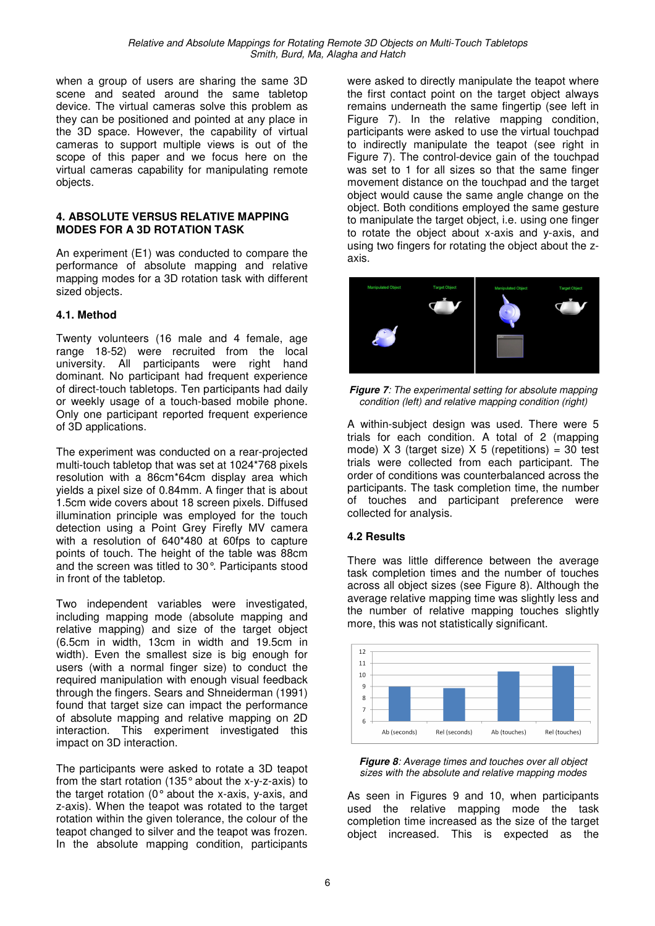when a group of users are sharing the same 3D scene and seated around the same tabletop device. The virtual cameras solve this problem as they can be positioned and pointed at any place in the 3D space. However, the capability of virtual cameras to support multiple views is out of the scope of this paper and we focus here on the virtual cameras capability for manipulating remote objects.

#### **4. ABSOLUTE VERSUS RELATIVE MAPPING MODES FOR A 3D ROTATION TASK**

An experiment (E1) was conducted to compare the performance of absolute mapping and relative mapping modes for a 3D rotation task with different sized objects.

#### **4.1. Method**

Twenty volunteers (16 male and 4 female, age range 18-52) were recruited from the local university. All participants were right hand dominant. No participant had frequent experience of direct-touch tabletops. Ten participants had daily or weekly usage of a touch-based mobile phone. Only one participant reported frequent experience of 3D applications.

The experiment was conducted on a rear-projected multi-touch tabletop that was set at 1024\*768 pixels resolution with a 86cm\*64cm display area which yields a pixel size of 0.84mm. A finger that is about 1.5cm wide covers about 18 screen pixels. Diffused illumination principle was employed for the touch detection using a Point Grey Firefly MV camera with a resolution of 640\*480 at 60fps to capture points of touch. The height of the table was 88cm and the screen was titled to 30°. Participants stood in front of the tabletop.

Two independent variables were investigated, including mapping mode (absolute mapping and relative mapping) and size of the target object (6.5cm in width, 13cm in width and 19.5cm in width). Even the smallest size is big enough for users (with a normal finger size) to conduct the required manipulation with enough visual feedback through the fingers. Sears and Shneiderman (1991) found that target size can impact the performance of absolute mapping and relative mapping on 2D interaction. This experiment investigated this impact on 3D interaction.

The participants were asked to rotate a 3D teapot from the start rotation (135° about the x-y-z-axis) to the target rotation (0° about the x-axis, y-axis, and z-axis). When the teapot was rotated to the target rotation within the given tolerance, the colour of the teapot changed to silver and the teapot was frozen. In the absolute mapping condition, participants were asked to directly manipulate the teapot where the first contact point on the target object always remains underneath the same fingertip (see left in Figure 7). In the relative mapping condition, participants were asked to use the virtual touchpad to indirectly manipulate the teapot (see right in Figure 7). The control-device gain of the touchpad was set to 1 for all sizes so that the same finger movement distance on the touchpad and the target object would cause the same angle change on the object. Both conditions employed the same gesture to manipulate the target object, i.e. using one finger to rotate the object about x-axis and y-axis, and using two fingers for rotating the object about the zaxis.



**Figure 7:** The experimental setting for absolute mapping condition (left) and relative mapping condition (right)

A within-subject design was used. There were 5 trials for each condition. A total of 2 (mapping mode)  $X$  3 (target size)  $X$  5 (repetitions) = 30 test trials were collected from each participant. The order of conditions was counterbalanced across the participants. The task completion time, the number of touches and participant preference were collected for analysis.

#### **4.2 Results**

There was little difference between the average task completion times and the number of touches across all object sizes (see Figure 8). Although the average relative mapping time was slightly less and the number of relative mapping touches slightly more, this was not statistically significant.



**Figure 8**: Average times and touches over all object sizes with the absolute and relative mapping modes

As seen in Figures 9 and 10, when participants used the relative mapping mode the task completion time increased as the size of the target object increased. This is expected as the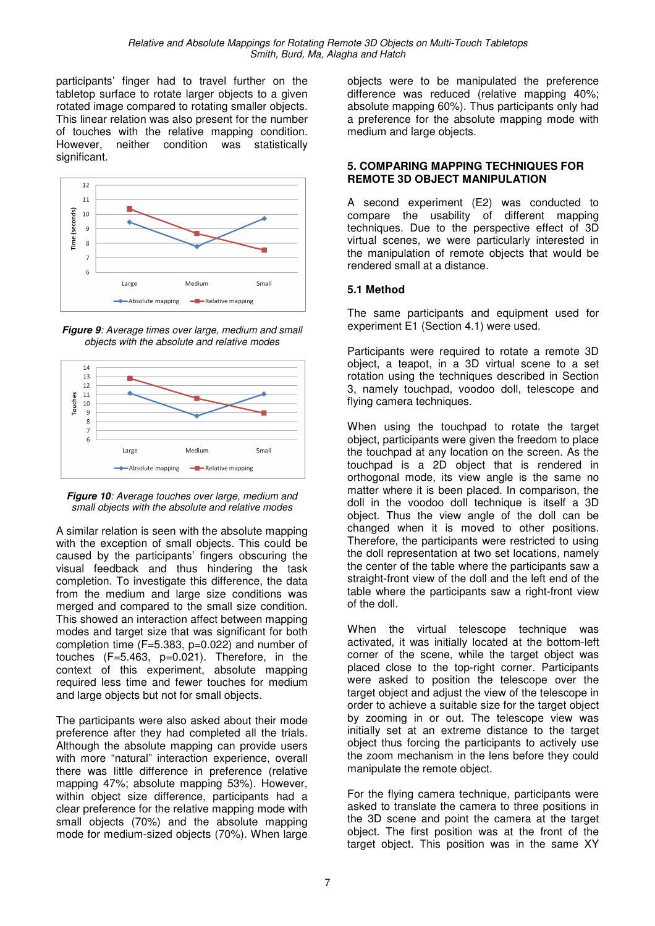participants' finger had to travel further on the tabletop surface to rotate larger objects to a given rotated image compared to rotating smaller objects. This linear relation was also present for the number of touches with the relative mapping condition. However, neither condition was statistically significant.



**Figure 9**: Average times over large, medium and small objects with the absolute and relative modes





A similar relation is seen with the absolute mapping with the exception of small objects. This could be caused by the participants' fingers obscuring the visual feedback and thus hindering the task completion. To investigate this difference, the data from the medium and large size conditions was merged and compared to the small size condition. This showed an interaction affect between mapping modes and target size that was significant for both completion time (F=5.383, p=0.022) and number of touches (F=5.463, p=0.021). Therefore, in the context of this experiment, absolute mapping required less time and fewer touches for medium and large objects but not for small objects.

The participants were also asked about their mode preference after they had completed all the trials. Although the absolute mapping can provide users with more "natural" interaction experience, overall there was little difference in preference (relative mapping 47%; absolute mapping 53%). However, within object size difference, participants had a clear preference for the relative mapping mode with small objects (70%) and the absolute mapping mode for medium-sized objects (70%). When large objects were to be manipulated the preference difference was reduced (relative mapping 40%; absolute mapping 60%). Thus participants only had a preference for the absolute mapping mode with medium and large objects.

#### **5. COMPARING MAPPING TECHNIQUES FOR REMOTE 3D OBJECT MANIPULATION**

A second experiment (E2) was conducted to compare the usability of different mapping techniques. Due to the perspective effect of 3D virtual scenes, we were particularly interested in the manipulation of remote objects that would be rendered small at a distance.

#### **5.1 Method**

The same participants and equipment used for experiment E1 (Section 4.1) were used.

Participants were required to rotate a remote 3D object, a teapot, in a 3D virtual scene to a set rotation using the techniques described in Section 3, namely touchpad, voodoo doll, telescope and flying camera techniques.

When using the touchpad to rotate the target object, participants were given the freedom to place the touchpad at any location on the screen. As the touchpad is a 2D object that is rendered in orthogonal mode, its view angle is the same no matter where it is been placed. In comparison, the doll in the voodoo doll technique is itself a 3D object. Thus the view angle of the doll can be changed when it is moved to other positions. Therefore, the participants were restricted to using the doll representation at two set locations, namely the center of the table where the participants saw a straight-front view of the doll and the left end of the table where the participants saw a right-front view of the doll.

When the virtual telescope technique was activated, it was initially located at the bottom-left corner of the scene, while the target object was placed close to the top-right corner. Participants were asked to position the telescope over the target object and adjust the view of the telescope in order to achieve a suitable size for the target object by zooming in or out. The telescope view was initially set at an extreme distance to the target object thus forcing the participants to actively use the zoom mechanism in the lens before they could manipulate the remote object.

For the flying camera technique, participants were asked to translate the camera to three positions in the 3D scene and point the camera at the target object. The first position was at the front of the target object. This position was in the same XY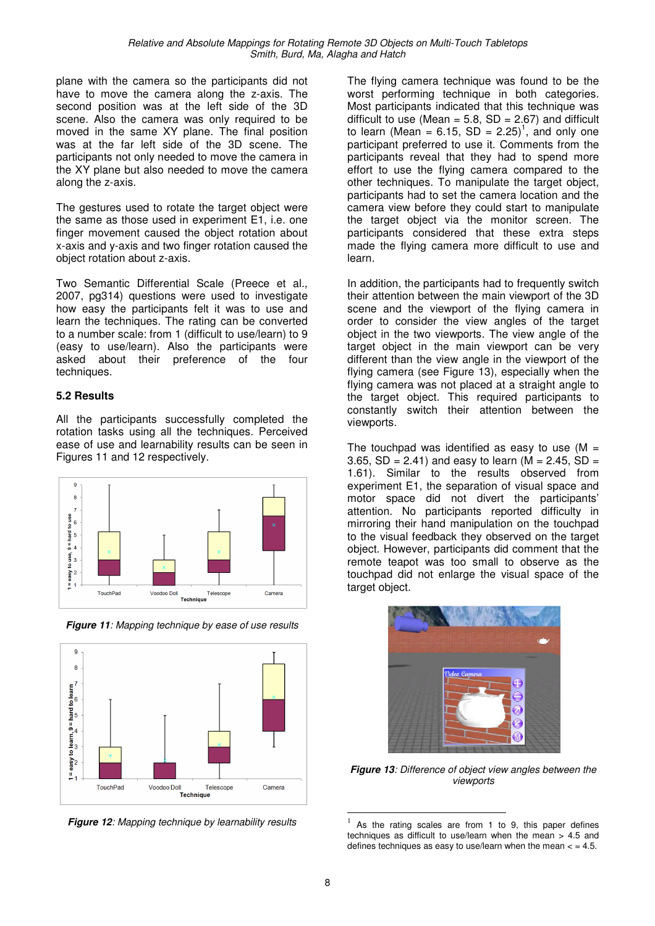plane with the camera so the participants did not have to move the camera along the z-axis. The second position was at the left side of the 3D scene. Also the camera was only required to be moved in the same XY plane. The final position was at the far left side of the 3D scene. The participants not only needed to move the camera in the XY plane but also needed to move the camera along the z-axis.

The gestures used to rotate the target object were the same as those used in experiment E1, i.e. one finger movement caused the object rotation about x-axis and y-axis and two finger rotation caused the object rotation about z-axis.

Two Semantic Differential Scale (Preece et al., 2007, pg314) questions were used to investigate how easy the participants felt it was to use and learn the techniques. The rating can be converted to a number scale: from 1 (difficult to use/learn) to 9 (easy to use/learn). Also the participants were asked about their preference of the four techniques.

#### **5.2 Results**

All the participants successfully completed the rotation tasks using all the techniques. Perceived ease of use and learnability results can be seen in Figures 11 and 12 respectively.



**Figure 11:** Mapping technique by ease of use results



**Figure 12: Mapping technique by learnability results** 

The flying camera technique was found to be the worst performing technique in both categories. Most participants indicated that this technique was difficult to use (Mean =  $5.8$ , SD =  $2.67$ ) and difficult to learn (Mean = 6.15,  $SD = 2.25$ )<sup>1</sup>, and only one participant preferred to use it. Comments from the participants reveal that they had to spend more effort to use the flying camera compared to the other techniques. To manipulate the target object, participants had to set the camera location and the camera view before they could start to manipulate the target object via the monitor screen. The participants considered that these extra steps made the flying camera more difficult to use and learn.

In addition, the participants had to frequently switch their attention between the main viewport of the 3D scene and the viewport of the flying camera in order to consider the view angles of the target object in the two viewports. The view angle of the target object in the main viewport can be very different than the view angle in the viewport of the flying camera (see Figure 13), especially when the flying camera was not placed at a straight angle to the target object. This required participants to constantly switch their attention between the viewports.

The touchpad was identified as easy to use  $(M =$ 3.65, SD = 2.41) and easy to learn ( $M = 2.45$ , SD = 1.61). Similar to the results observed from experiment E1, the separation of visual space and motor space did not divert the participants' attention. No participants reported difficulty in mirroring their hand manipulation on the touchpad to the visual feedback they observed on the target object. However, participants did comment that the remote teapot was too small to observe as the touchpad did not enlarge the visual space of the target object.



**Figure 13**: Difference of object view angles between the viewports

 $\overline{a}$ 

<sup>1</sup> As the rating scales are from 1 to 9, this paper defines techniques as difficult to use/learn when the mean > 4.5 and defines techniques as easy to use/learn when the mean  $<$  = 4.5.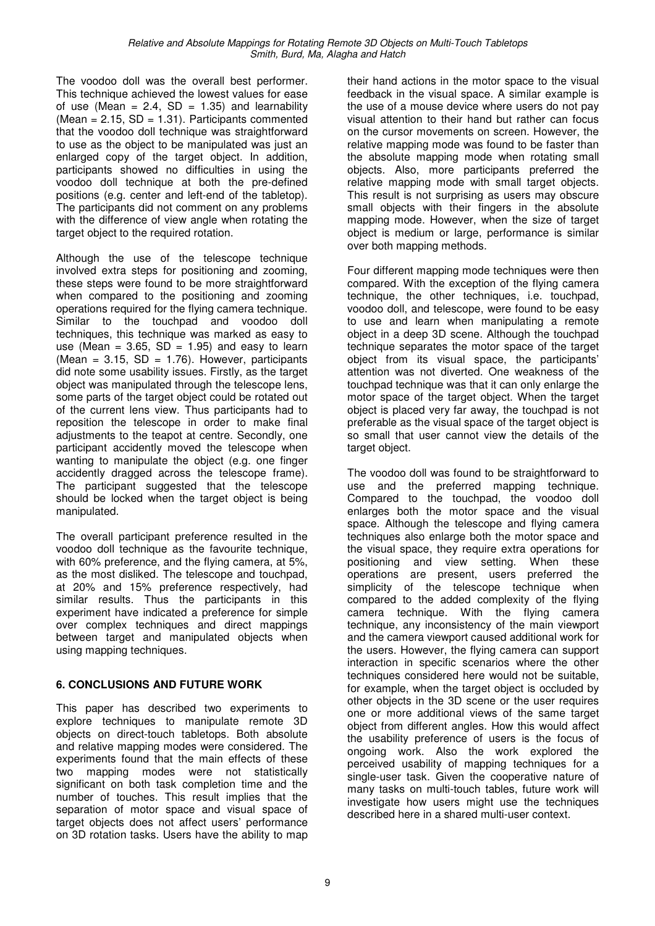The voodoo doll was the overall best performer. This technique achieved the lowest values for ease of use (Mean =  $2.4$ , SD =  $1.35$ ) and learnability  $(Mean = 2.15, SD = 1.31)$ . Participants commented that the voodoo doll technique was straightforward to use as the object to be manipulated was just an enlarged copy of the target object. In addition, participants showed no difficulties in using the voodoo doll technique at both the pre-defined positions (e.g. center and left-end of the tabletop). The participants did not comment on any problems with the difference of view angle when rotating the target object to the required rotation.

Although the use of the telescope technique involved extra steps for positioning and zooming, these steps were found to be more straightforward when compared to the positioning and zooming operations required for the flying camera technique. Similar to the touchpad and voodoo doll techniques, this technique was marked as easy to use (Mean =  $3.65$ , SD =  $1.95$ ) and easy to learn (Mean =  $3.15$ , SD =  $1.76$ ). However, participants did note some usability issues. Firstly, as the target object was manipulated through the telescope lens, some parts of the target object could be rotated out of the current lens view. Thus participants had to reposition the telescope in order to make final adjustments to the teapot at centre. Secondly, one participant accidently moved the telescope when wanting to manipulate the object (e.g. one finger accidently dragged across the telescope frame). The participant suggested that the telescope should be locked when the target object is being manipulated.

The overall participant preference resulted in the voodoo doll technique as the favourite technique, with 60% preference, and the flying camera, at 5%, as the most disliked. The telescope and touchpad, at 20% and 15% preference respectively, had similar results. Thus the participants in this experiment have indicated a preference for simple over complex techniques and direct mappings between target and manipulated objects when using mapping techniques.

## **6. CONCLUSIONS AND FUTURE WORK**

This paper has described two experiments to explore techniques to manipulate remote 3D objects on direct-touch tabletops. Both absolute and relative mapping modes were considered. The experiments found that the main effects of these two mapping modes were not statistically significant on both task completion time and the number of touches. This result implies that the separation of motor space and visual space of target objects does not affect users' performance on 3D rotation tasks. Users have the ability to map their hand actions in the motor space to the visual feedback in the visual space. A similar example is the use of a mouse device where users do not pay visual attention to their hand but rather can focus on the cursor movements on screen. However, the relative mapping mode was found to be faster than the absolute mapping mode when rotating small objects. Also, more participants preferred the relative mapping mode with small target objects. This result is not surprising as users may obscure small objects with their fingers in the absolute mapping mode. However, when the size of target object is medium or large, performance is similar over both mapping methods.

Four different mapping mode techniques were then compared. With the exception of the flying camera technique, the other techniques, i.e. touchpad, voodoo doll, and telescope, were found to be easy to use and learn when manipulating a remote object in a deep 3D scene. Although the touchpad technique separates the motor space of the target object from its visual space, the participants' attention was not diverted. One weakness of the touchpad technique was that it can only enlarge the motor space of the target object. When the target object is placed very far away, the touchpad is not preferable as the visual space of the target object is so small that user cannot view the details of the target object.

The voodoo doll was found to be straightforward to use and the preferred mapping technique. Compared to the touchpad, the voodoo doll enlarges both the motor space and the visual space. Although the telescope and flying camera techniques also enlarge both the motor space and the visual space, they require extra operations for positioning and view setting. When these operations are present, users preferred the simplicity of the telescope technique when compared to the added complexity of the flying camera technique. With the flying camera technique, any inconsistency of the main viewport and the camera viewport caused additional work for the users. However, the flying camera can support interaction in specific scenarios where the other techniques considered here would not be suitable, for example, when the target object is occluded by other objects in the 3D scene or the user requires one or more additional views of the same target object from different angles. How this would affect the usability preference of users is the focus of ongoing work. Also the work explored the perceived usability of mapping techniques for a single-user task. Given the cooperative nature of many tasks on multi-touch tables, future work will investigate how users might use the techniques described here in a shared multi-user context.